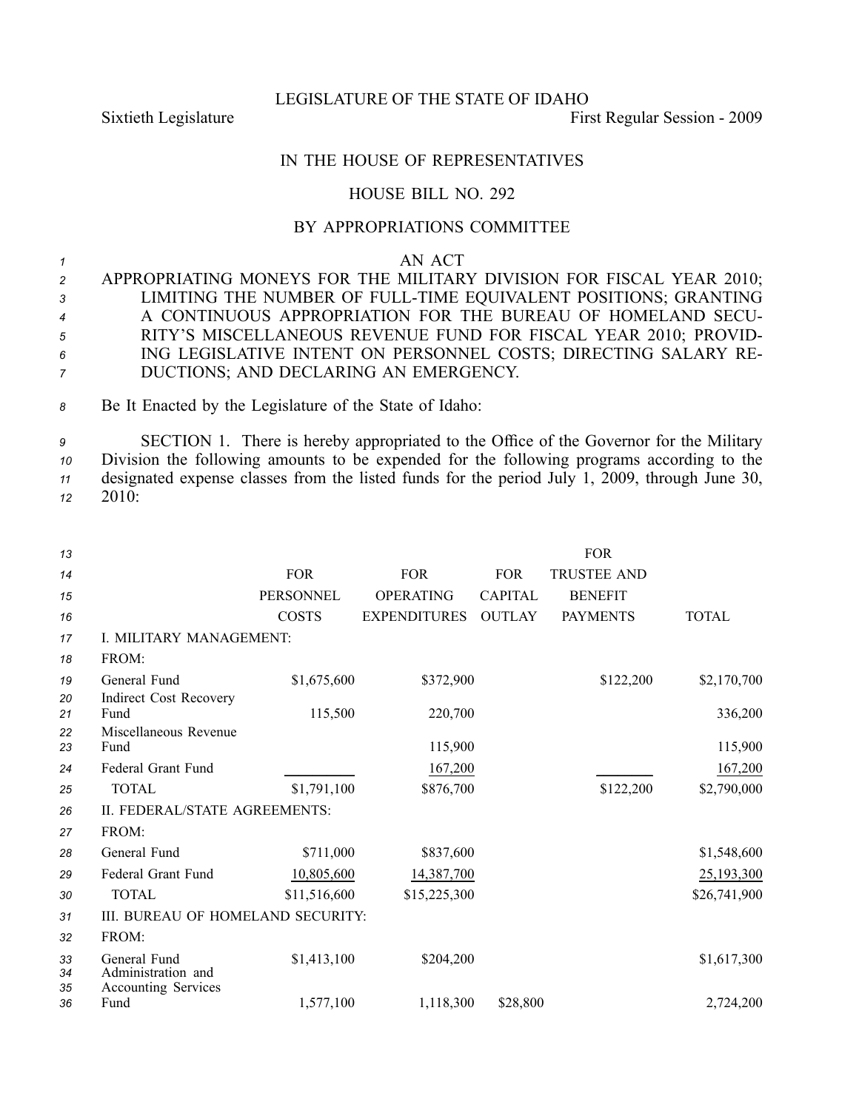LEGISLATURE OF THE STATE OF IDAHO

Sixtieth Legislature First Regular Session - 2009

## IN THE HOUSE OF REPRESENTATIVES

## HOUSE BILL NO. 292

## BY APPROPRIATIONS COMMITTEE

*<sup>1</sup>* AN ACT

 APPROPRIATING MONEYS FOR THE MILITARY DIVISION FOR FISCAL YEAR 2010; LIMITING THE NUMBER OF FULLTIME EQUIVALENT POSITIONS; GRANTING A CONTINUOUS APPROPRIATION FOR THE BUREAU OF HOMELAND SECU- RITY'S MISCELLANEOUS REVENUE FUND FOR FISCAL YEAR 2010; PROVID- ING LEGISLATIVE INTENT ON PERSONNEL COSTS; DIRECTING SALARY RE-DUCTIONS; AND DECLARING AN EMERGENCY.

*<sup>8</sup>* Be It Enacted by the Legislature of the State of Idaho:

 SECTION 1. There is hereby appropriated to the Office of the Governor for the Military Division the following amounts to be expended for the following programs according to the designated expense classes from the listed funds for the period July 1, 2009, through June 30, *<sup>12</sup>* 2010:

| 13             |                                                                  |                  |                     |                | FOR                |              |  |  |  |  |
|----------------|------------------------------------------------------------------|------------------|---------------------|----------------|--------------------|--------------|--|--|--|--|
| 14             |                                                                  | <b>FOR</b>       | <b>FOR</b>          | <b>FOR</b>     | <b>TRUSTEE AND</b> |              |  |  |  |  |
| 15             |                                                                  | <b>PERSONNEL</b> | <b>OPERATING</b>    | <b>CAPITAL</b> | <b>BENEFIT</b>     |              |  |  |  |  |
| 16             |                                                                  | <b>COSTS</b>     | <b>EXPENDITURES</b> | <b>OUTLAY</b>  | <b>PAYMENTS</b>    | <b>TOTAL</b> |  |  |  |  |
| 17             | I. MILITARY MANAGEMENT:                                          |                  |                     |                |                    |              |  |  |  |  |
| 18             | FROM:                                                            |                  |                     |                |                    |              |  |  |  |  |
| 19             | General Fund                                                     | \$1,675,600      | \$372,900           |                | \$122,200          | \$2,170,700  |  |  |  |  |
| 20<br>21       | <b>Indirect Cost Recovery</b><br>Fund                            | 115,500          | 220,700             |                |                    | 336,200      |  |  |  |  |
| 22             | Miscellaneous Revenue                                            |                  |                     |                |                    |              |  |  |  |  |
| 23             | Fund                                                             |                  | 115,900             |                |                    | 115,900      |  |  |  |  |
| 24             | Federal Grant Fund                                               |                  | 167,200             |                |                    | 167,200      |  |  |  |  |
| 25             | <b>TOTAL</b>                                                     | \$1,791,100      | \$876,700           |                | \$122,200          | \$2,790,000  |  |  |  |  |
| 26             | II. FEDERAL/STATE AGREEMENTS:                                    |                  |                     |                |                    |              |  |  |  |  |
| 27             | FROM:                                                            |                  |                     |                |                    |              |  |  |  |  |
| 28             | General Fund                                                     | \$711,000        | \$837,600           |                |                    | \$1,548,600  |  |  |  |  |
| 29             | Federal Grant Fund                                               | 10,805,600       | 14,387,700          |                |                    | 25,193,300   |  |  |  |  |
| 30             | <b>TOTAL</b>                                                     | \$11,516,600     | \$15,225,300        |                |                    | \$26,741,900 |  |  |  |  |
| 31             | III. BUREAU OF HOMELAND SECURITY:                                |                  |                     |                |                    |              |  |  |  |  |
| 32             | FROM:                                                            |                  |                     |                |                    |              |  |  |  |  |
| 33<br>34<br>35 | General Fund<br>Administration and<br><b>Accounting Services</b> | \$1,413,100      | \$204,200           |                |                    | \$1,617,300  |  |  |  |  |
| 36             | Fund                                                             | 1,577,100        | 1,118,300           | \$28,800       |                    | 2,724,200    |  |  |  |  |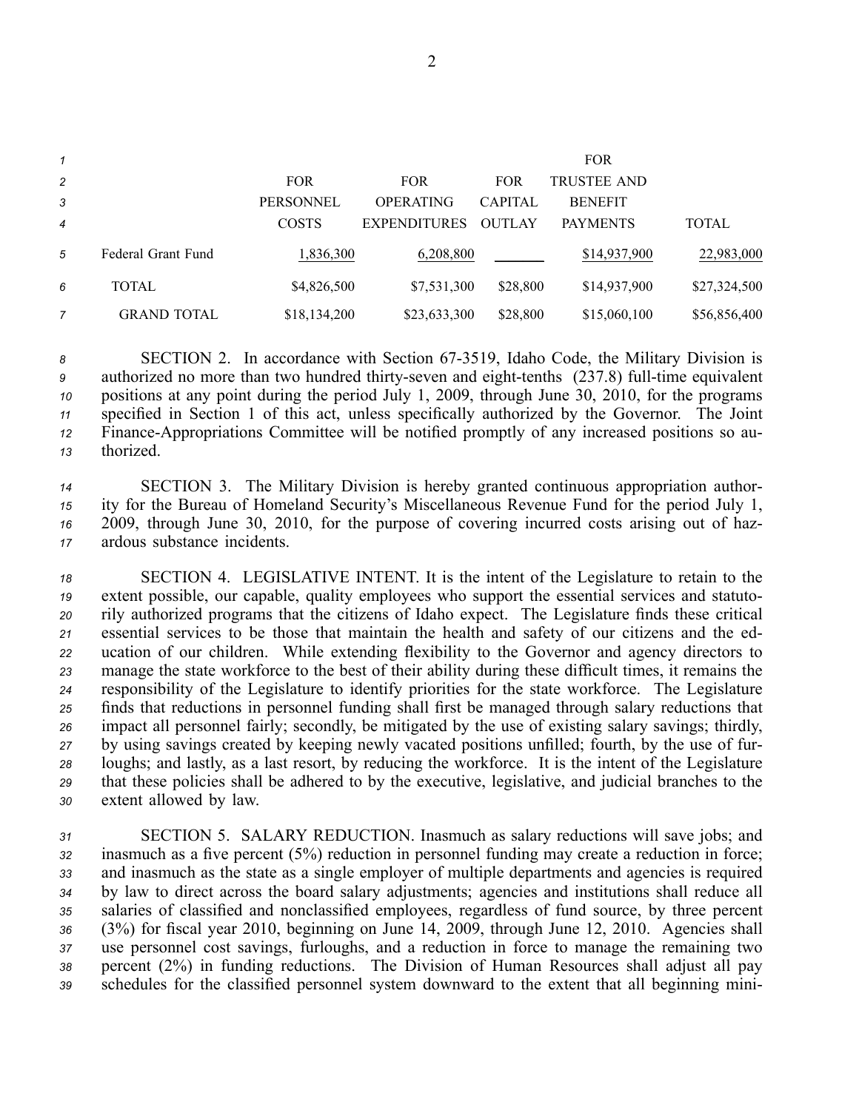| 1              |                    |                  |                     |                | <b>FOR</b>         |              |
|----------------|--------------------|------------------|---------------------|----------------|--------------------|--------------|
| $\overline{c}$ |                    | <b>FOR</b>       | <b>FOR</b>          | <b>FOR</b>     | <b>TRUSTEE AND</b> |              |
| 3              |                    | <b>PERSONNEL</b> | <b>OPERATING</b>    | <b>CAPITAL</b> | <b>BENEFIT</b>     |              |
| $\overline{4}$ |                    | <b>COSTS</b>     | <b>EXPENDITURES</b> | <b>OUTLAY</b>  | <b>PAYMENTS</b>    | TOTAL        |
| 5              | Federal Grant Fund | 1,836,300        | 6,208,800           |                | \$14,937,900       | 22,983,000   |
| 6              | TOTAL              | \$4,826,500      | \$7,531,300         | \$28,800       | \$14,937,900       | \$27,324,500 |
|                | <b>GRAND TOTAL</b> | \$18,134,200     | \$23,633,300        | \$28,800       | \$15,060,100       | \$56,856,400 |

 SECTION 2. In accordance with Section 673519, Idaho Code, the Military Division is authorized no more than two hundred thirty-seven and eight-tenths (237.8) full-time equivalent positions at any point during the period July 1, 2009, through June 30, 2010, for the programs specified in Section 1 of this act, unless specifically authorized by the Governor. The Joint <sup>12</sup> Finance-Appropriations Committee will be notified promptly of any increased positions so au-thorized.

 SECTION 3. The Military Division is hereby granted continuous appropriation author- ity for the Bureau of Homeland Security's Miscellaneous Revenue Fund for the period July 1, 2009, through June 30, 2010, for the purpose of covering incurred costs arising out of haz-ardous substance incidents.

 SECTION 4. LEGISLATIVE INTENT. It is the intent of the Legislature to retain to the extent possible, our capable, quality employees who suppor<sup>t</sup> the essential services and statuto- rily authorized programs that the citizens of Idaho expect. The Legislature finds these critical essential services to be those that maintain the health and safety of our citizens and the ed- ucation of our children. While extending flexibility to the Governor and agency directors to manage the state workforce to the best of their ability during these difficult times, it remains the responsibility of the Legislature to identify priorities for the state workforce. The Legislature finds that reductions in personnel funding shall first be managed through salary reductions that impact all personnel fairly; secondly, be mitigated by the use of existing salary savings; thirdly, by using savings created by keeping newly vacated positions unfilled; fourth, by the use of fur- loughs; and lastly, as <sup>a</sup> last resort, by reducing the workforce. It is the intent of the Legislature that these policies shall be adhered to by the executive, legislative, and judicial branches to the extent allowed by law.

 SECTION 5. SALARY REDUCTION. Inasmuch as salary reductions will save jobs; and inasmuch as <sup>a</sup> five percen<sup>t</sup> (5%) reduction in personnel funding may create <sup>a</sup> reduction in force; and inasmuch as the state as <sup>a</sup> single employer of multiple departments and agencies is required by law to direct across the board salary adjustments; agencies and institutions shall reduce all salaries of classified and nonclassified employees, regardless of fund source, by three percen<sup>t</sup> (3%) for fiscal year 2010, beginning on June 14, 2009, through June 12, 2010. Agencies shall use personnel cost savings, furloughs, and <sup>a</sup> reduction in force to manage the remaining two percen<sup>t</sup> (2%) in funding reductions. The Division of Human Resources shall adjust all pay schedules for the classified personnel system downward to the extent that all beginning mini